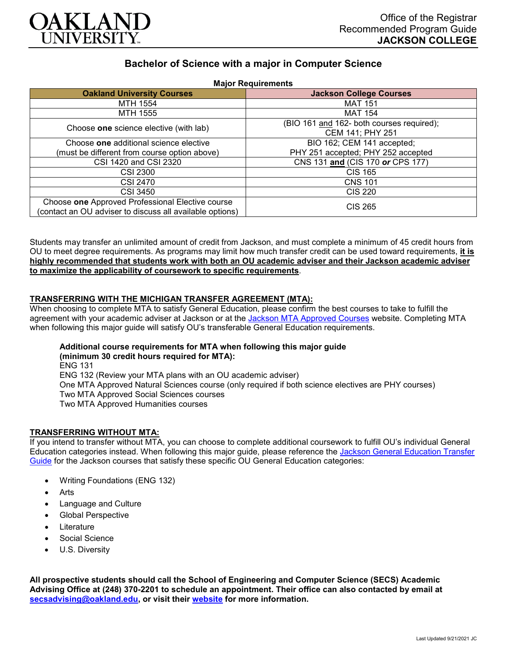

# **Bachelor of Science with a major in Computer Science**

| <b>Major Requirements</b>                                |                                           |
|----------------------------------------------------------|-------------------------------------------|
| <b>Oakland University Courses</b>                        | <b>Jackson College Courses</b>            |
| MTH 1554                                                 | <b>MAT 151</b>                            |
| MTH 1555                                                 | <b>MAT 154</b>                            |
| Choose one science elective (with lab)                   | (BIO 161 and 162- both courses required); |
|                                                          | CEM 141; PHY 251                          |
| Choose one additional science elective                   | BIO 162; CEM 141 accepted;                |
| (must be different from course option above)             | PHY 251 accepted; PHY 252 accepted        |
| CSI 1420 and CSI 2320                                    | CNS 131 and (CIS 170 or CPS 177)          |
| CSI 2300                                                 | CIS 165                                   |
| <b>CSI 2470</b>                                          | <b>CNS 101</b>                            |
| <b>CSI 3450</b>                                          | <b>CIS 220</b>                            |
| Choose one Approved Professional Elective course         | CIS 265                                   |
| (contact an OU adviser to discuss all available options) |                                           |

Students may transfer an unlimited amount of credit from Jackson, and must complete a minimum of 45 credit hours from OU to meet degree requirements. As programs may limit how much transfer credit can be used toward requirements, **it is highly recommended that students work with both an OU academic adviser and their Jackson academic adviser to maximize the applicability of coursework to specific requirements**.

## **TRANSFERRING WITH THE MICHIGAN TRANSFER AGREEMENT (MTA):**

When choosing to complete MTA to satisfy General Education, please confirm the best courses to take to fulfill the agreement with your academic adviser at Jackson or at the Jackson [MTA Approved Courses](https://www.jccmi.edu/transfer/michigan-transfer-agreement/) website. Completing MTA when following this major guide will satisfy OU's transferable General Education requirements.

# **Additional course requirements for MTA when following this major guide (minimum 30 credit hours required for MTA):**

ENG 131 ENG 132 (Review your MTA plans with an OU academic adviser) One MTA Approved Natural Sciences course (only required if both science electives are PHY courses) Two MTA Approved Social Sciences courses Two MTA Approved Humanities courses

#### **TRANSFERRING WITHOUT MTA:**

If you intend to transfer without MTA, you can choose to complete additional coursework to fulfill OU's individual General Education categories instead. When following this major guide, please reference the [Jackson General Education Transfer](https://www.oakland.edu/Assets/Oakland/program-guides/jackson-college/university-general-education-requirements/Jackson%20Gen%20Ed.pdf)  [Guide](https://www.oakland.edu/Assets/Oakland/program-guides/jackson-college/university-general-education-requirements/Jackson%20Gen%20Ed.pdf) for the Jackson courses that satisfy these specific OU General Education categories:

- Writing Foundations (ENG 132)
- **Arts**
- Language and Culture
- Global Perspective
- **Literature**
- Social Science
- U.S. Diversity

**All prospective students should call the School of Engineering and Computer Science (SECS) Academic Advising Office at (248) 370-2201 to schedule an appointment. Their office can also contacted by email at [secsadvising@oakland.edu,](mailto:secsadvising@oakland.edu) or visit their [website](https://wwwp.oakland.edu/secs/advising/) for more information.**